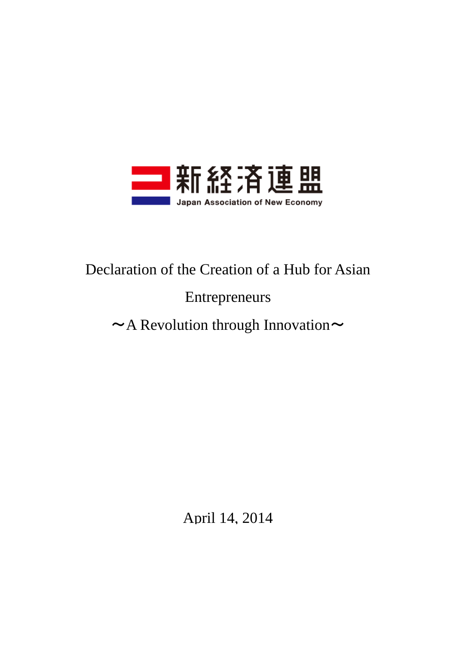

# Declaration of the Creation of a Hub for Asian

# Entrepreneurs

# $\sim$  A Revolution through Innovation $\sim$

April 14, 2014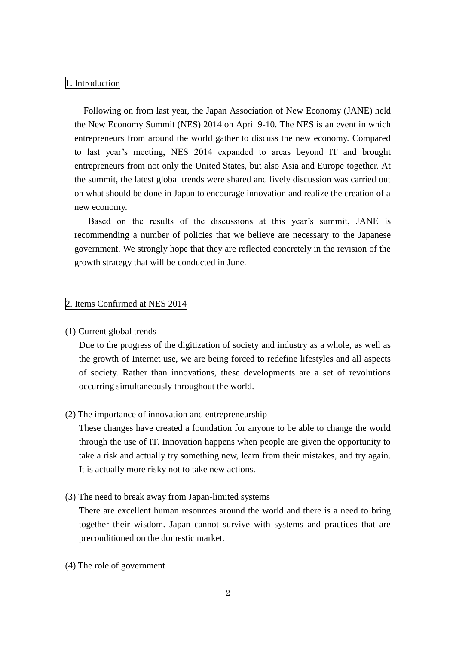#### 1. Introduction

 Following on from last year, the Japan Association of New Economy (JANE) held the New Economy Summit (NES) 2014 on April 9-10. The NES is an event in which entrepreneurs from around the world gather to discuss the new economy. Compared to last year's meeting, NES 2014 expanded to areas beyond IT and brought entrepreneurs from not only the United States, but also Asia and Europe together. At the summit, the latest global trends were shared and lively discussion was carried out on what should be done in Japan to encourage innovation and realize the creation of a new economy.

 Based on the results of the discussions at this year's summit, JANE is recommending a number of policies that we believe are necessary to the Japanese government. We strongly hope that they are reflected concretely in the revision of the growth strategy that will be conducted in June.

#### 2. Items Confirmed at NES 2014

#### (1) Current global trends

Due to the progress of the digitization of society and industry as a whole, as well as the growth of Internet use, we are being forced to redefine lifestyles and all aspects of society. Rather than innovations, these developments are a set of revolutions occurring simultaneously throughout the world.

# (2) The importance of innovation and entrepreneurship

These changes have created a foundation for anyone to be able to change the world through the use of IT. Innovation happens when people are given the opportunity to take a risk and actually try something new, learn from their mistakes, and try again. It is actually more risky not to take new actions.

(3) The need to break away from Japan-limited systems

There are excellent human resources around the world and there is a need to bring together their wisdom. Japan cannot survive with systems and practices that are preconditioned on the domestic market.

(4) The role of government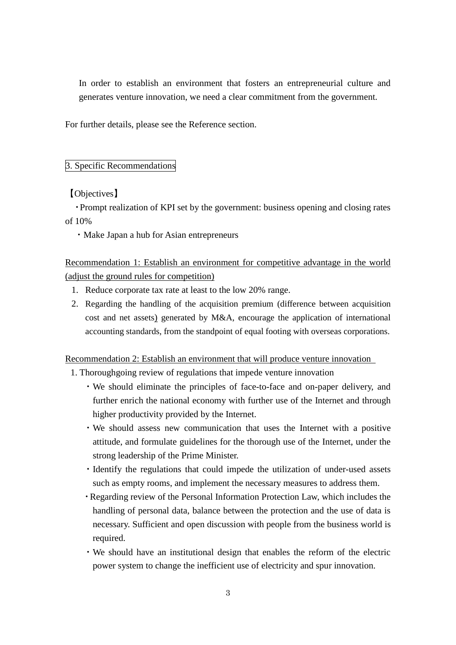In order to establish an environment that fosters an entrepreneurial culture and generates venture innovation, we need a clear commitment from the government.

For further details, please see the Reference section.

# 3. Specific Recommendations

【Objectives】

・Prompt realization of KPI set by the government: business opening and closing rates of 10%

・Make Japan a hub for Asian entrepreneurs

Recommendation 1: Establish an environment for competitive advantage in the world (adjust the ground rules for competition)

- 1. Reduce corporate tax rate at least to the low 20% range.
- 2. Regarding the handling of the acquisition premium (difference between acquisition cost and net assets) generated by M&A, encourage the application of international accounting standards, from the standpoint of equal footing with overseas corporations.

Recommendation 2: Establish an environment that will produce venture innovation

- 1. Thoroughgoing review of regulations that impede venture innovation
	- ・We should eliminate the principles of face-to-face and on-paper delivery, and further enrich the national economy with further use of the Internet and through higher productivity provided by the Internet.
	- ・We should assess new communication that uses the Internet with a positive attitude, and formulate guidelines for the thorough use of the Internet, under the strong leadership of the Prime Minister.
	- ・Identify the regulations that could impede the utilization of under-used assets such as empty rooms, and implement the necessary measures to address them.
	- ・Regarding review of the Personal Information Protection Law, which includes the handling of personal data, balance between the protection and the use of data is necessary. Sufficient and open discussion with people from the business world is required.
	- ・We should have an institutional design that enables the reform of the electric power system to change the inefficient use of electricity and spur innovation.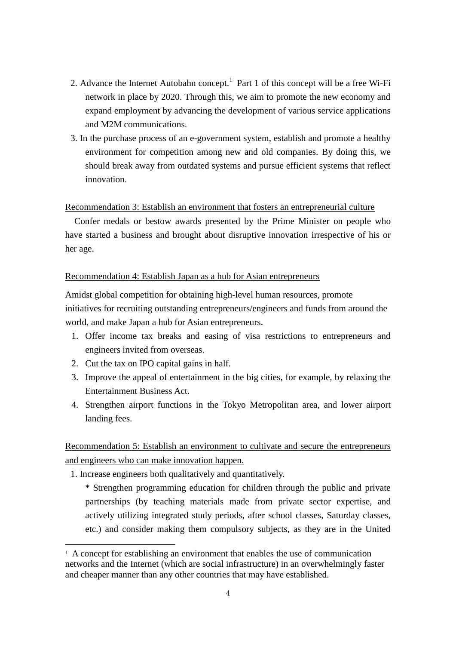- 2. Advance the Internet Autobahn concept.<sup>1</sup> Part 1 of this concept will be a free Wi-Fi network in place by 2020. Through this, we aim to promote the new economy and expand employment by advancing the development of various service applications and M2M communications.
- 3. In the purchase process of an e-government system, establish and promote a healthy environment for competition among new and old companies. By doing this, we should break away from outdated systems and pursue efficient systems that reflect innovation.

#### Recommendation 3: Establish an environment that fosters an entrepreneurial culture

 Confer medals or bestow awards presented by the Prime Minister on people who have started a business and brought about disruptive innovation irrespective of his or her age.

#### Recommendation 4: Establish Japan as a hub for Asian entrepreneurs

Amidst global competition for obtaining high-level human resources, promote initiatives for recruiting outstanding entrepreneurs/engineers and funds from around the world, and make Japan a hub for Asian entrepreneurs.

- 1. Offer income tax breaks and easing of visa restrictions to entrepreneurs and engineers invited from overseas.
- 2. Cut the tax on IPO capital gains in half.

-

- 3. Improve the appeal of entertainment in the big cities, for example, by relaxing the Entertainment Business Act.
- 4. Strengthen airport functions in the Tokyo Metropolitan area, and lower airport landing fees.

Recommendation 5: Establish an environment to cultivate and secure the entrepreneurs and engineers who can make innovation happen.

1. Increase engineers both qualitatively and quantitatively.

\* Strengthen programming education for children through the public and private partnerships (by teaching materials made from private sector expertise, and actively utilizing integrated study periods, after school classes, Saturday classes, etc.) and consider making them compulsory subjects, as they are in the United

<sup>&</sup>lt;sup>1</sup> A concept for establishing an environment that enables the use of communication networks and the Internet (which are social infrastructure) in an overwhelmingly faster and cheaper manner than any other countries that may have established.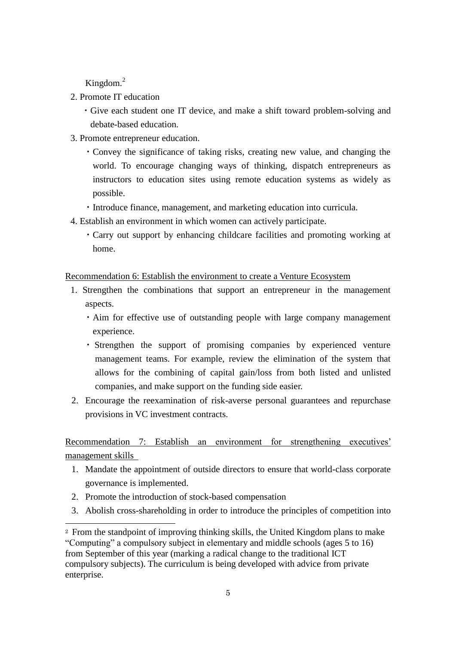Kingdom.<sup>2</sup>

- 2. Promote IT education
	- ・Give each student one IT device, and make a shift toward problem-solving and debate-based education.
- 3. Promote entrepreneur education.
	- ・Convey the significance of taking risks, creating new value, and changing the world. To encourage changing ways of thinking, dispatch entrepreneurs as instructors to education sites using remote education systems as widely as possible.
	- ・Introduce finance, management, and marketing education into curricula.
- 4. Establish an environment in which women can actively participate.
	- ・Carry out support by enhancing childcare facilities and promoting working at home.

### Recommendation 6: Establish the environment to create a Venture Ecosystem

- 1. Strengthen the combinations that support an entrepreneur in the management aspects.
	- ・Aim for effective use of outstanding people with large company management experience.
	- ・ Strengthen the support of promising companies by experienced venture management teams. For example, review the elimination of the system that allows for the combining of capital gain/loss from both listed and unlisted companies, and make support on the funding side easier.
- 2. Encourage the reexamination of risk-averse personal guarantees and repurchase provisions in VC investment contracts.

Recommendation 7: Establish an environment for strengthening executives' management skills

- 1. Mandate the appointment of outside directors to ensure that world-class corporate governance is implemented.
- 2. Promote the introduction of stock-based compensation

-

3. Abolish cross-shareholding in order to introduce the principles of competition into

<sup>2</sup> From the standpoint of improving thinking skills, the United Kingdom plans to make "Computing" a compulsory subject in elementary and middle schools (ages 5 to 16) from September of this year (marking a radical change to the traditional ICT compulsory subjects). The curriculum is being developed with advice from private enterprise.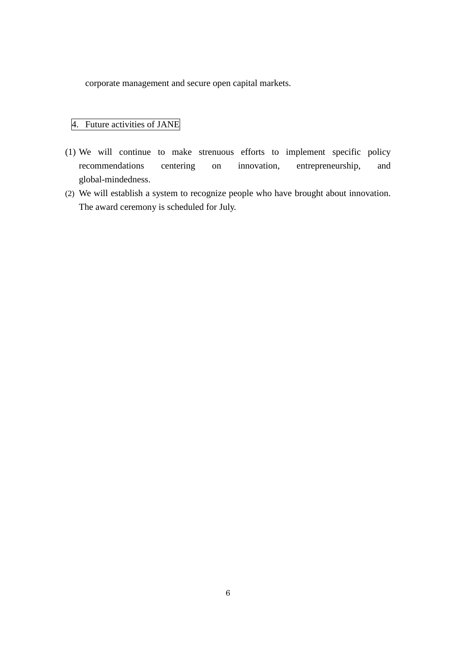corporate management and secure open capital markets.

# 4. Future activities of JANE

- (1) We will continue to make strenuous efforts to implement specific policy recommendations centering on innovation, entrepreneurship, and global-mindedness.
- (2) We will establish a system to recognize people who have brought about innovation. The award ceremony is scheduled for July.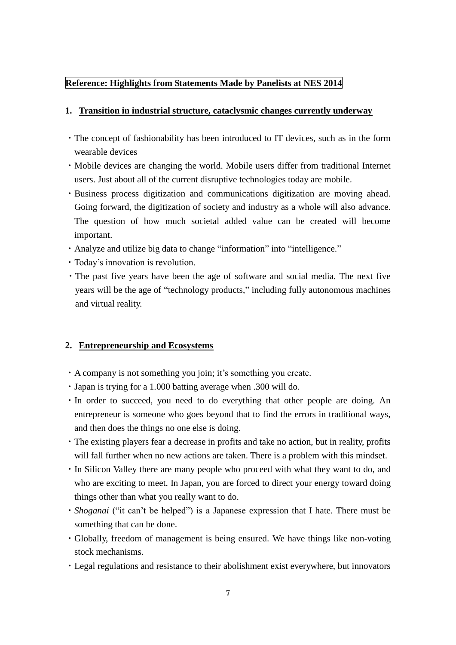# **Reference: Highlights from Statements Made by Panelists at NES 2014**

## **1. Transition in industrial structure, cataclysmic changes currently underway**

- ・The concept of fashionability has been introduced to IT devices, such as in the form wearable devices
- ・Mobile devices are changing the world. Mobile users differ from traditional Internet users. Just about all of the current disruptive technologies today are mobile.
- ・Business process digitization and communications digitization are moving ahead. Going forward, the digitization of society and industry as a whole will also advance. The question of how much societal added value can be created will become important.
- ・Analyze and utilize big data to change "information" into "intelligence."
- ・Today's innovation is revolution.
- ・The past five years have been the age of software and social media. The next five years will be the age of "technology products," including fully autonomous machines and virtual reality.

## **2. Entrepreneurship and Ecosystems**

- ・A company is not something you join; it's something you create.
- ・Japan is trying for a 1.000 batting average when .300 will do.
- ・In order to succeed, you need to do everything that other people are doing. An entrepreneur is someone who goes beyond that to find the errors in traditional ways, and then does the things no one else is doing.
- ・The existing players fear a decrease in profits and take no action, but in reality, profits will fall further when no new actions are taken. There is a problem with this mindset.
- ・In Silicon Valley there are many people who proceed with what they want to do, and who are exciting to meet. In Japan, you are forced to direct your energy toward doing things other than what you really want to do.
- ・*Shoganai* ("it can't be helped") is a Japanese expression that I hate. There must be something that can be done.
- ・Globally, freedom of management is being ensured. We have things like non-voting stock mechanisms.
- ・Legal regulations and resistance to their abolishment exist everywhere, but innovators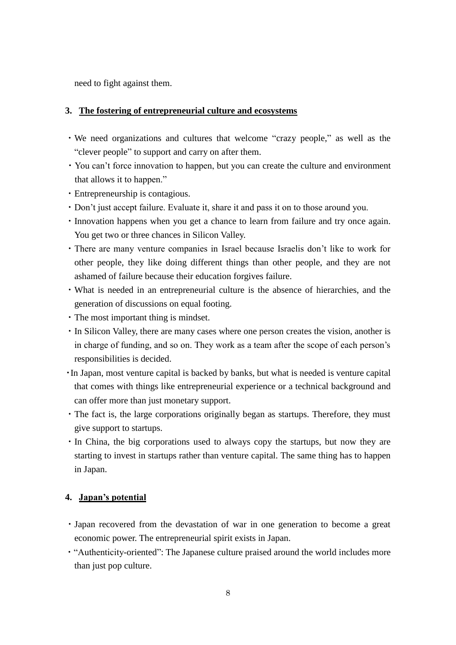need to fight against them.

## **3. The fostering of entrepreneurial culture and ecosystems**

- ・We need organizations and cultures that welcome "crazy people," as well as the "clever people" to support and carry on after them.
- ・You can't force innovation to happen, but you can create the culture and environment that allows it to happen."
- ・Entrepreneurship is contagious.
- ・Don't just accept failure. Evaluate it, share it and pass it on to those around you.
- ・Innovation happens when you get a chance to learn from failure and try once again. You get two or three chances in Silicon Valley.
- ・There are many venture companies in Israel because Israelis don't like to work for other people, they like doing different things than other people, and they are not ashamed of failure because their education forgives failure.
- ・What is needed in an entrepreneurial culture is the absence of hierarchies, and the generation of discussions on equal footing.
- ・The most important thing is mindset.
- ・In Silicon Valley, there are many cases where one person creates the vision, another is in charge of funding, and so on. They work as a team after the scope of each person's responsibilities is decided.
- ・In Japan, most venture capital is backed by banks, but what is needed is venture capital that comes with things like entrepreneurial experience or a technical background and can offer more than just monetary support.
- ・The fact is, the large corporations originally began as startups. Therefore, they must give support to startups.
- ・In China, the big corporations used to always copy the startups, but now they are starting to invest in startups rather than venture capital. The same thing has to happen in Japan.

## **4. Japan's potential**

- ・Japan recovered from the devastation of war in one generation to become a great economic power. The entrepreneurial spirit exists in Japan.
- ・"Authenticity-oriented": The Japanese culture praised around the world includes more than just pop culture.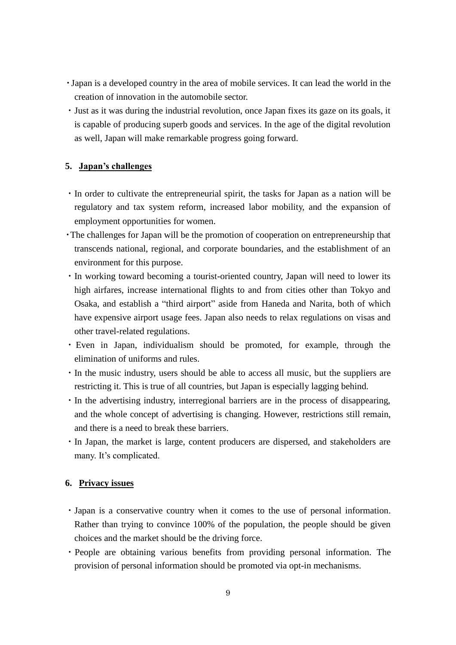- ・Japan is a developed country in the area of mobile services. It can lead the world in the creation of innovation in the automobile sector.
- ・Just as it was during the industrial revolution, once Japan fixes its gaze on its goals, it is capable of producing superb goods and services. In the age of the digital revolution as well, Japan will make remarkable progress going forward.

## **5. Japan's challenges**

- ・In order to cultivate the entrepreneurial spirit, the tasks for Japan as a nation will be regulatory and tax system reform, increased labor mobility, and the expansion of employment opportunities for women.
- ・The challenges for Japan will be the promotion of cooperation on entrepreneurship that transcends national, regional, and corporate boundaries, and the establishment of an environment for this purpose.
- ・In working toward becoming a tourist-oriented country, Japan will need to lower its high airfares, increase international flights to and from cities other than Tokyo and Osaka, and establish a "third airport" aside from Haneda and Narita, both of which have expensive airport usage fees. Japan also needs to relax regulations on visas and other travel-related regulations.
- ・Even in Japan, individualism should be promoted, for example, through the elimination of uniforms and rules.
- ・In the music industry, users should be able to access all music, but the suppliers are restricting it. This is true of all countries, but Japan is especially lagging behind.
- ・In the advertising industry, interregional barriers are in the process of disappearing, and the whole concept of advertising is changing. However, restrictions still remain, and there is a need to break these barriers.
- ・In Japan, the market is large, content producers are dispersed, and stakeholders are many. It's complicated.

## **6. Privacy issues**

- ・Japan is a conservative country when it comes to the use of personal information. Rather than trying to convince 100% of the population, the people should be given choices and the market should be the driving force.
- ・People are obtaining various benefits from providing personal information. The provision of personal information should be promoted via opt-in mechanisms.